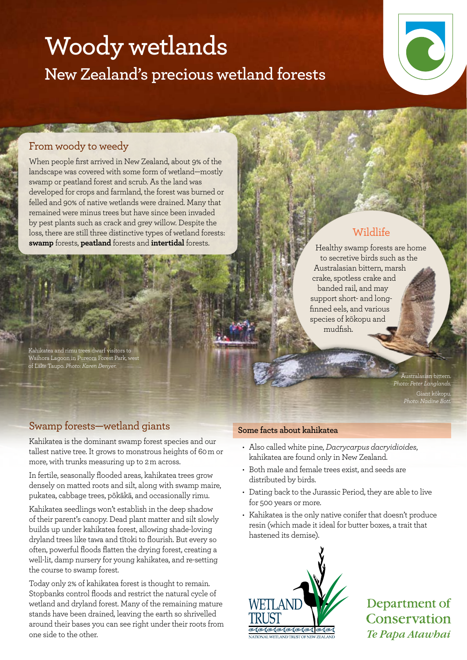# **Woody wetlands New Zealand's precious wetland forests**



#### From woody to weedy

When people first arrived in New Zealand, about 9% of the landscape was covered with some form of wetland—mostly swamp or peatland forest and scrub. As the land was developed for crops and farmland, the forest was burned or felled and 90% of native wetlands were drained. Many that remained were minus trees but have since been invaded by pest plants such as crack and grey willow. Despite the loss, there are still three distinctive types of wetland forests: **swamp** forests, **peatland** forests and **intertidal** forests.

**CONTRACTOR** 

Kahikatea and rimu trees dwarf visitors to Waihora Lagoon in Pureora Forest Park, west of Lake Taupo. *Photo: Karen Denyer.*

## Healthy swamp forests are home

to secretive birds such as the Australasian bittern, marsh crake, spotless crake and banded rail, and may support short- and longfinned eels, and various species of kōkopu and mudfish.

Wildlife

Australasian bittern. *Photo: Peter Langlands.* Giant kōkopu. *Photo: Nadine Bott.*

## Swamp forests—wetland giants

Kahikatea is the dominant swamp forest species and our tallest native tree. It grows to monstrous heights of 60 m or more, with trunks measuring up to 2 m across.

In fertile, seasonally flooded areas, kahikatea trees grow densely on matted roots and silt, along with swamp maire, pukatea, cabbage trees, pōkākā, and occasionally rimu.

Kahikatea seedlings won't establish in the deep shadow of their parent's canopy. Dead plant matter and silt slowly builds up under kahikatea forest, allowing shade-loving dryland trees like tawa and tītoki to flourish. But every so often, powerful floods flatten the drying forest, creating a well-lit, damp nursery for young kahikatea, and re-setting the course to swamp forest.

Today only 2% of kahikatea forest is thought to remain. Stopbanks control floods and restrict the natural cycle of wetland and dryland forest. Many of the remaining mature stands have been drained, leaving the earth so shrivelled around their bases you can see right under their roots from one side to the other.

#### **Some facts about kahikatea**

- • Also called white pine, *Dacrycarpus dacryidioides*, kahikatea are found only in New Zealand.
- • Both male and female trees exist, and seeds are distributed by birds.
- Dating back to the Jurassic Period, they are able to live for 500 years or more.
- Kahikatea is the only native conifer that doesn't produce resin (which made it ideal for butter boxes, a trait that hastened its demise).



Department of Conservation Te Papa Atawbai